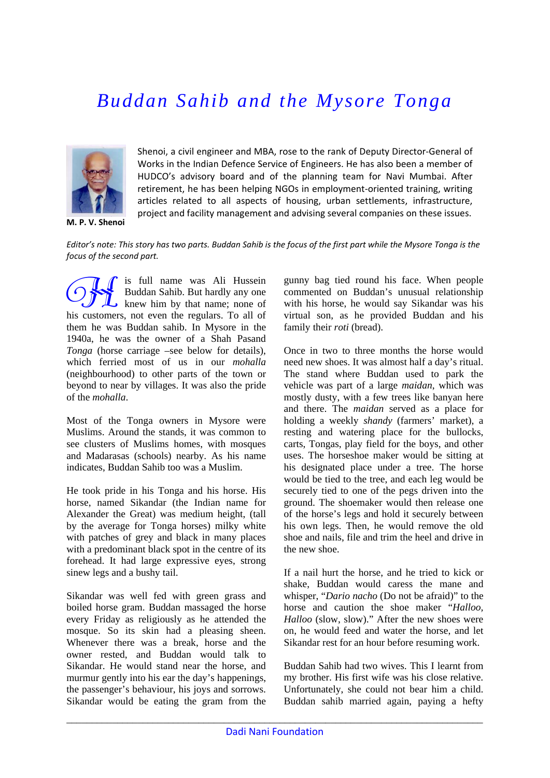## *Buddan Sahib and the Mysore Tonga*



**M. P. V. Shenoi**

Shenoi, a civil engineer and MBA, rose to the rank of Deputy Director‐General of Works in the Indian Defence Service of Engineers. He has also been a member of HUDCO's advisory board and of the planning team for Navi Mumbai. After retirement, he has been helping NGOs in employment-oriented training, writing articles related to all aspects of housing, urban settlements, infrastructure, project and facility management and advising several companies on these issues.

Editor's note: This story has two parts. Buddan Sahib is the focus of the first part while the Mysore Tonga is the *focus of the second part.*

i B Guidan Sahib. But hardly any one knew him by that name; none of uddan Sahib. But hardly any one new him by that name; none of his customers, not even the regulars. To all of them he was Buddan sahib. In Mysore in the 1940a, he was the owner of a Shah Pasand *Tonga* (horse carriage –see below for details), which ferried most of us in our *mohalla* (neighbourhood) to other parts of the town or beyond to near by villages. It was also the pride of the *mohalla*.

Most of the Tonga owners in Mysore were Muslims. Around the stands, it was common to see clusters of Muslims homes, with mosques and Madarasas (schools) nearby. As his name indicates, Buddan Sahib too was a Muslim.

He took pride in his Tonga and his horse. His horse, named Sikandar (the Indian name for Alexander the Great) was medium height, (tall by the average for Tonga horses) milky white with patches of grey and black in many places with a predominant black spot in the centre of its forehead. It had large expressive eyes, strong sinew legs and a bushy tail.

Sikandar was well fed with green grass and boiled horse gram. Buddan massaged the horse every Friday as religiously as he attended the mosque. So its skin had a pleasing sheen. Whenever there was a break, horse and the owner rested, and Buddan would talk to Sikandar. He would stand near the horse, and murmur gently into his ear the day's happenings, the passenger's behaviour, his joys and sorrows. Sikandar would be eating the gram from the gunny bag tied round his face. When people commented on Buddan's unusual relationship with his horse, he would say Sikandar was his virtual son, as he provided Buddan and his family their *roti* (bread).

Once in two to three months the horse would need new shoes. It was almost half a day's ritual. The stand where Buddan used to park the vehicle was part of a large *maidan*, which was mostly dusty, with a few trees like banyan here and there. The *maidan* served as a place for holding a weekly *shandy* (farmers' market), a resting and watering place for the bullocks, carts, Tongas, play field for the boys, and other uses. The horseshoe maker would be sitting at his designated place under a tree. The horse would be tied to the tree, and each leg would be securely tied to one of the pegs driven into the ground. The shoemaker would then release one of the horse's legs and hold it securely between his own legs. Then, he would remove the old shoe and nails, file and trim the heel and drive in the new shoe.

If a nail hurt the horse, and he tried to kick or shake, Buddan would caress the mane and whisper, "*Dario nacho* (Do not be afraid)" to the horse and caution the shoe maker "*Halloo, Halloo* (slow, slow)." After the new shoes were on, he would feed and water the horse, and let Sikandar rest for an hour before resuming work.

Buddan Sahib had two wives. This I learnt from my brother. His first wife was his close relative. Unfortunately, she could not bear him a child. Buddan sahib married again, paying a hefty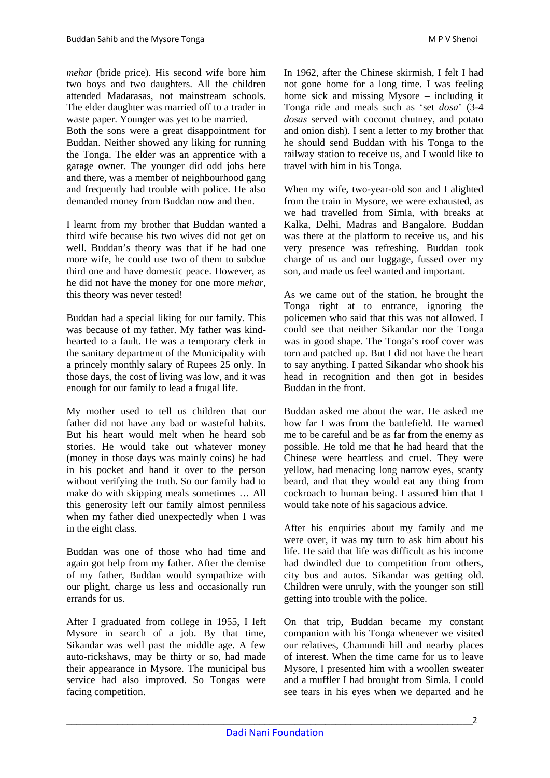*mehar* (bride price). His second wife bore him two boys and two daughters. All the children attended Madarasas, not mainstream schools. The elder daughter was married off to a trader in waste paper. Younger was yet to be married. Both the sons were a great disappointment for Buddan. Neither showed any liking for running the Tonga. The elder was an apprentice with a garage owner. The younger did odd jobs here and there, was a member of neighbourhood gang and frequently had trouble with police. He also demanded money from Buddan now and then.

I learnt from my brother that Buddan wanted a third wife because his two wives did not get on well. Buddan's theory was that if he had one more wife, he could use two of them to subdue third one and have domestic peace. However, as he did not have the money for one more *mehar*, this theory was never tested!

Buddan had a special liking for our family. This was because of my father. My father was kindhearted to a fault. He was a temporary clerk in the sanitary department of the Municipality with a princely monthly salary of Rupees 25 only. In those days, the cost of living was low, and it was enough for our family to lead a frugal life.

My mother used to tell us children that our father did not have any bad or wasteful habits. But his heart would melt when he heard sob stories. He would take out whatever money (money in those days was mainly coins) he had in his pocket and hand it over to the person without verifying the truth. So our family had to make do with skipping meals sometimes … All this generosity left our family almost penniless when my father died unexpectedly when I was in the eight class.

Buddan was one of those who had time and again got help from my father. After the demise of my father, Buddan would sympathize with our plight, charge us less and occasionally run errands for us.

After I graduated from college in 1955, I left Mysore in search of a job. By that time, Sikandar was well past the middle age. A few auto-rickshaws, may be thirty or so, had made their appearance in Mysore. The municipal bus service had also improved. So Tongas were facing competition.

In 1962, after the Chinese skirmish, I felt I had not gone home for a long time. I was feeling home sick and missing Mysore – including it Tonga ride and meals such as 'set *dosa*' (3-4 *dosas* served with coconut chutney, and potato and onion dish). I sent a letter to my brother that he should send Buddan with his Tonga to the railway station to receive us, and I would like to travel with him in his Tonga.

When my wife, two-year-old son and I alighted from the train in Mysore, we were exhausted, as we had travelled from Simla, with breaks at Kalka, Delhi, Madras and Bangalore. Buddan was there at the platform to receive us, and his very presence was refreshing. Buddan took charge of us and our luggage, fussed over my son, and made us feel wanted and important.

As we came out of the station, he brought the Tonga right at to entrance, ignoring the policemen who said that this was not allowed. I could see that neither Sikandar nor the Tonga was in good shape. The Tonga's roof cover was torn and patched up. But I did not have the heart to say anything. I patted Sikandar who shook his head in recognition and then got in besides Buddan in the front.

Buddan asked me about the war. He asked me how far I was from the battlefield. He warned me to be careful and be as far from the enemy as possible. He told me that he had heard that the Chinese were heartless and cruel. They were yellow, had menacing long narrow eyes, scanty beard, and that they would eat any thing from cockroach to human being. I assured him that I would take note of his sagacious advice.

After his enquiries about my family and me were over, it was my turn to ask him about his life. He said that life was difficult as his income had dwindled due to competition from others, city bus and autos. Sikandar was getting old. Children were unruly, with the younger son still getting into trouble with the police.

On that trip, Buddan became my constant companion with his Tonga whenever we visited our relatives, Chamundi hill and nearby places of interest. When the time came for us to leave Mysore, I presented him with a woollen sweater and a muffler I had brought from Simla. I could see tears in his eyes when we departed and he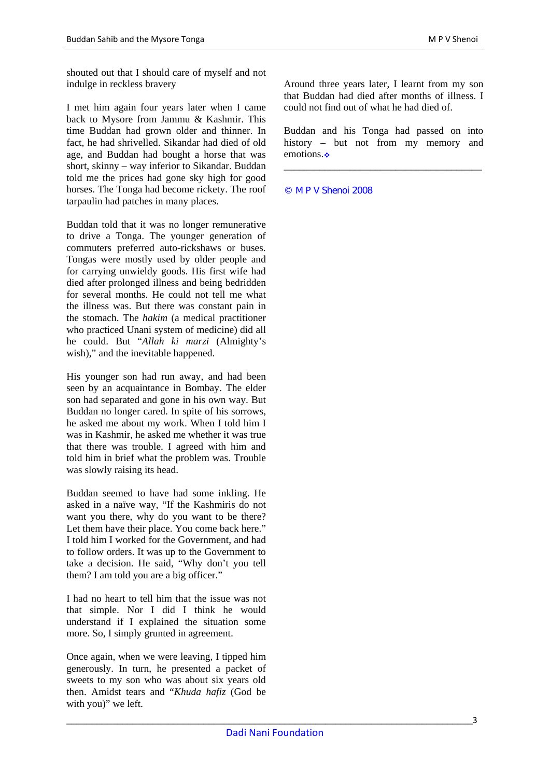shouted out that I should care of myself and not indulge in reckless bravery

I met him again four years later when I came back to Mysore from Jammu & Kashmir. This time Buddan had grown older and thinner. In fact, he had shrivelled. Sikandar had died of old age, and Buddan had bought a horse that was short, skinny – way inferior to Sikandar. Buddan told me the prices had gone sky high for good horses. The Tonga had become rickety. The roof tarpaulin had patches in many places.

Buddan told that it was no longer remunerative to drive a Tonga. The younger generation of commuters preferred auto-rickshaws or buses. Tongas were mostly used by older people and for carrying unwieldy goods. His first wife had died after prolonged illness and being bedridden for several months. He could not tell me what the illness was. But there was constant pain in the stomach. The *hakim* (a medical practitioner who practiced Unani system of medicine) did all he could. But "*Allah ki marzi* (Almighty's wish)," and the inevitable happened.

His younger son had run away, and had been seen by an acquaintance in Bombay. The elder son had separated and gone in his own way. But Buddan no longer cared. In spite of his sorrows, he asked me about my work. When I told him I was in Kashmir, he asked me whether it was true that there was trouble. I agreed with him and told him in brief what the problem was. Trouble was slowly raising its head.

Buddan seemed to have had some inkling. He asked in a naïve way, "If the Kashmiris do not want you there, why do you want to be there? Let them have their place. You come back here." I told him I worked for the Government, and had to follow orders. It was up to the Government to take a decision. He said, "Why don't you tell them? I am told you are a big officer."

I had no heart to tell him that the issue was not that simple. Nor I did I think he would understand if I explained the situation some more. So, I simply grunted in agreement.

Once again, when we were leaving, I tipped him generously. In turn, he presented a packet of sweets to my son who was about six years old then. Amidst tears and "*Khuda hafiz* (God be with you)" we left.

Around three years later, I learnt from my son that Buddan had died after months of illness. I could not find out of what he had died of.

Buddan and his Tonga had passed on into history – but not from my memory and emotions.

\_\_\_\_\_\_\_\_\_\_\_\_\_\_\_\_\_\_\_\_\_\_\_\_\_\_\_\_\_\_\_\_\_\_\_\_\_\_\_

© M P V Shenoi 2008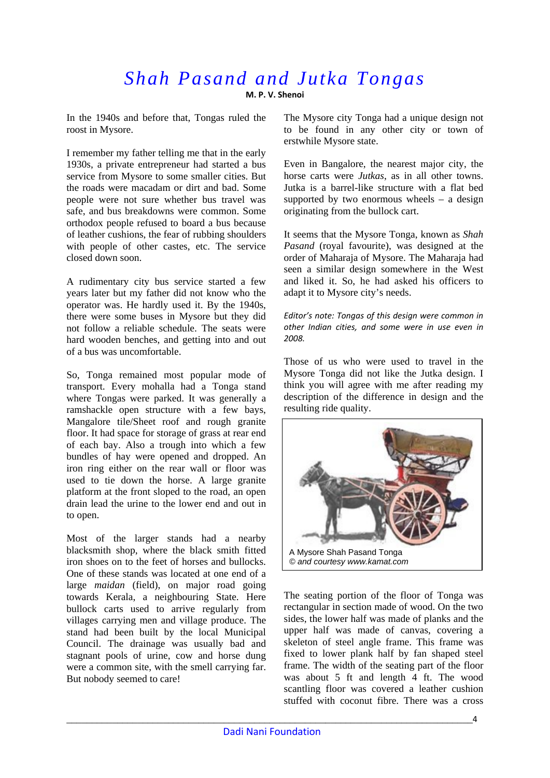## *Shah Pasand and Jutka Tongas*  **M. P. V. Shenoi**

In the 1940s and before that, Tongas ruled the roost in Mysore.

I remember my father telling me that in the early 1930s, a private entrepreneur had started a bus service from Mysore to some smaller cities. But the roads were macadam or dirt and bad. Some people were not sure whether bus travel was safe, and bus breakdowns were common. Some orthodox people refused to board a bus because of leather cushions, the fear of rubbing shoulders with people of other castes, etc. The service closed down soon.

A rudimentary city bus service started a few years later but my father did not know who the operator was. He hardly used it. By the 1940s, there were some buses in Mysore but they did not follow a reliable schedule. The seats were hard wooden benches, and getting into and out of a bus was uncomfortable.

So, Tonga remained most popular mode of transport. Every mohalla had a Tonga stand where Tongas were parked. It was generally a ramshackle open structure with a few bays, Mangalore tile/Sheet roof and rough granite floor. It had space for storage of grass at rear end of each bay. Also a trough into which a few bundles of hay were opened and dropped. An iron ring either on the rear wall or floor was used to tie down the horse. A large granite platform at the front sloped to the road, an open drain lead the urine to the lower end and out in to open.

Most of the larger stands had a nearby blacksmith shop, where the black smith fitted iron shoes on to the feet of horses and bullocks. One of these stands was located at one end of a large *maidan* (field), on major road going towards Kerala, a neighbouring State. Here bullock carts used to arrive regularly from villages carrying men and village produce. The stand had been built by the local Municipal Council. The drainage was usually bad and stagnant pools of urine, cow and horse dung were a common site, with the smell carrying far. But nobody seemed to care!

The Mysore city Tonga had a unique design not to be found in any other city or town of erstwhile Mysore state.

Even in Bangalore, the nearest major city, the horse carts were *Jutkas*, as in all other towns. Jutka is a barrel-like structure with a flat bed supported by two enormous wheels  $-$  a design originating from the bullock cart.

It seems that the Mysore Tonga, known as *Shah Pasand* (royal favourite), was designed at the order of Maharaja of Mysore. The Maharaja had seen a similar design somewhere in the West and liked it. So, he had asked his officers to adapt it to Mysore city's needs.

*Editor's note: Tongas of this design were common in other Indian cities, and some were in use even in 2008.*

Those of us who were used to travel in the Mysore Tonga did not like the Jutka design. I think you will agree with me after reading my description of the difference in design and the resulting ride quality.



The seating portion of the floor of Tonga was rectangular in section made of wood. On the two sides, the lower half was made of planks and the upper half was made of canvas, covering a skeleton of steel angle frame. This frame was fixed to lower plank half by fan shaped steel frame. The width of the seating part of the floor was about 5 ft and length 4 ft. The wood scantling floor was covered a leather cushion stuffed with coconut fibre. There was a cross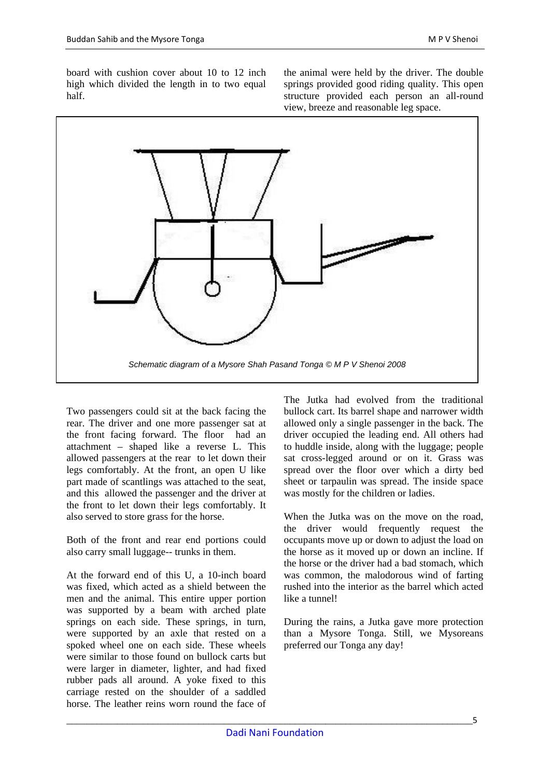board with cushion cover about 10 to 12 inch high which divided the length in to two equal half.

the animal were held by the driver. The double springs provided good riding quality. This open structure provided each person an all-round view, breeze and reasonable leg space.



Two passengers could sit at the back facing the rear. The driver and one more passenger sat at the front facing forward. The floor had an attachment – shaped like a reverse L. This allowed passengers at the rear to let down their legs comfortably. At the front, an open U like part made of scantlings was attached to the seat, and this allowed the passenger and the driver at the front to let down their legs comfortably. It also served to store grass for the horse.

Both of the front and rear end portions could also carry small luggage-- trunks in them.

At the forward end of this U, a 10-inch board was fixed, which acted as a shield between the men and the animal. This entire upper portion was supported by a beam with arched plate springs on each side. These springs, in turn, were supported by an axle that rested on a spoked wheel one on each side. These wheels were similar to those found on bullock carts but were larger in diameter, lighter, and had fixed rubber pads all around. A yoke fixed to this carriage rested on the shoulder of a saddled horse. The leather reins worn round the face of

The Jutka had evolved from the traditional bullock cart. Its barrel shape and narrower width allowed only a single passenger in the back. The driver occupied the leading end. All others had to huddle inside, along with the luggage; people sat cross-legged around or on it. Grass was spread over the floor over which a dirty bed sheet or tarpaulin was spread. The inside space was mostly for the children or ladies.

When the Jutka was on the move on the road, the driver would frequently request the occupants move up or down to adjust the load on the horse as it moved up or down an incline. If the horse or the driver had a bad stomach, which was common, the malodorous wind of farting rushed into the interior as the barrel which acted like a tunnel!

During the rains, a Jutka gave more protection than a Mysore Tonga. Still, we Mysoreans preferred our Tonga any day!